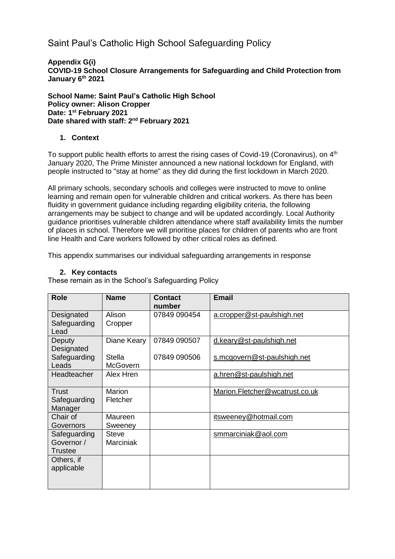# Saint Paul's Catholic High School Safeguarding Policy

**Appendix G(i) COVID-19 School Closure Arrangements for Safeguarding and Child Protection from January 6th 2021**

#### **School Name: Saint Paul's Catholic High School Policy owner: Alison Cropper Date: 1 st February 2021 Date shared with staff: 2 nd February 2021**

### **1. Context**

To support public health efforts to arrest the rising cases of Covid-19 (Coronavirus), on  $4<sup>th</sup>$ January 2020, The Prime Minister announced a new national lockdown for England, with people instructed to "stay at home" as they did during the first lockdown in March 2020.

All primary schools, secondary schools and colleges were instructed to move to online learning and remain open for vulnerable children and critical workers. As there has been fluidity in government guidance including regarding eligibility criteria, the following arrangements may be subject to change and will be updated accordingly. Local Authority guidance prioritises vulnerable children attendance where staff availability limits the number of places in school. Therefore we will prioritise places for children of parents who are front line Health and Care workers followed by other critical roles as defined.

This appendix summarises our individual safeguarding arrangements in response

#### **2. Key contacts**

These remain as in the School's Safeguarding Policy

| <b>Role</b>                                  | <b>Name</b>               | <b>Contact</b><br>number | <b>Email</b>                   |
|----------------------------------------------|---------------------------|--------------------------|--------------------------------|
| Designated<br>Safeguarding<br>Lead           | Alison<br>Cropper         | 07849 090454             | a.cropper@st-paulshigh.net     |
| Deputy<br>Designated                         | Diane Keary               | 07849 090507             | d.keary@st-paulshigh.net       |
| Safeguarding<br>Leads                        | Stella<br><b>McGovern</b> | 07849 090506             | s.mcgovern@st-paulshigh.net    |
| Headteacher                                  | Alex Hren                 |                          | a.hren@st-paulshigh.net        |
| Trust<br>Safeguarding<br>Manager             | Marion<br>Fletcher        |                          | Marion.Fletcher@wcatrust.co.uk |
| Chair of<br>Governors                        | Maureen<br>Sweeney        |                          | itsweeney@hotmail.com          |
| Safeguarding<br>Governor /<br><b>Trustee</b> | Steve<br><b>Marciniak</b> |                          | smmarciniak@aol.com            |
| Others, if<br>applicable                     |                           |                          |                                |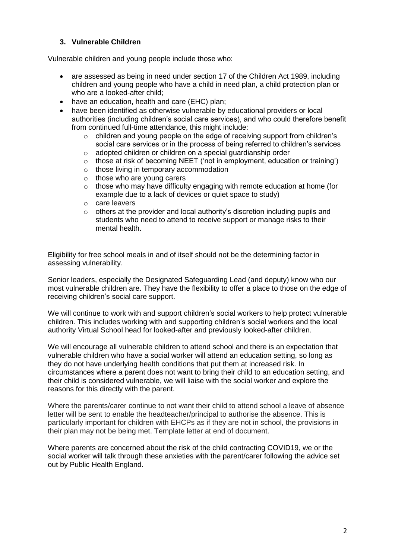### **3. Vulnerable Children**

Vulnerable children and young people include those who:

- are assessed as being in need under section 17 of the Children Act 1989, including children and young people who have a child in need plan, a child protection plan or who are a looked-after child;
- have an education, health and care (EHC) plan;
- have been identified as otherwise vulnerable by educational providers or local authorities (including children's social care services), and who could therefore benefit from continued full-time attendance, this might include:
	- $\circ$  children and young people on the edge of receiving support from children's social care services or in the process of being referred to children's services
	- o adopted children or children on a special guardianship order
	- $\circ$  those at risk of becoming NEET ('not in employment, education or training')
	- o those living in temporary accommodation
	- o those who are young carers
	- o those who may have difficulty engaging with remote education at home (for example due to a lack of devices or quiet space to study)
	- o care leavers
	- $\circ$  others at the provider and local authority's discretion including pupils and students who need to attend to receive support or manage risks to their mental health.

Eligibility for free school meals in and of itself should not be the determining factor in assessing vulnerability.

Senior leaders, especially the Designated Safeguarding Lead (and deputy) know who our most vulnerable children are. They have the flexibility to offer a place to those on the edge of receiving children's social care support.

We will continue to work with and support children's social workers to help protect vulnerable children. This includes working with and supporting children's social workers and the local authority Virtual School head for looked-after and previously looked-after children.

We will encourage all vulnerable children to attend school and there is an expectation that vulnerable children who have a social worker will attend an education setting, so long as they do not have underlying health conditions that put them at increased risk. In circumstances where a parent does not want to bring their child to an education setting, and their child is considered vulnerable, we will liaise with the social worker and explore the reasons for this directly with the parent.

Where the parents/carer continue to not want their child to attend school a leave of absence letter will be sent to enable the headteacher/principal to authorise the absence. This is particularly important for children with EHCPs as if they are not in school, the provisions in their plan may not be being met. Template letter at end of document.

Where parents are concerned about the risk of the child contracting COVID19, we or the social worker will talk through these anxieties with the parent/carer following the advice set out by Public Health England.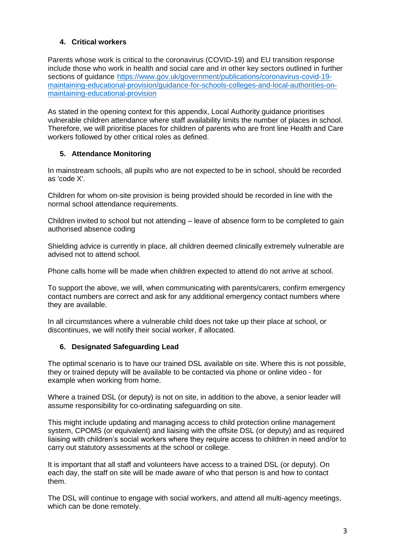### **4. Critical workers**

Parents whose work is critical to the coronavirus (COVID-19) and EU transition response include those who work in health and social care and in other key sectors outlined in further sections of guidance [https://www.gov.uk/government/publications/coronavirus-covid-19](https://www.gov.uk/government/publications/coronavirus-covid-19-maintaining-educational-provision/guidance-for-schools-colleges-and-local-authorities-on-maintaining-educational-provision) [maintaining-educational-provision/guidance-for-schools-colleges-and-local-authorities-on](https://www.gov.uk/government/publications/coronavirus-covid-19-maintaining-educational-provision/guidance-for-schools-colleges-and-local-authorities-on-maintaining-educational-provision)[maintaining-educational-provision](https://www.gov.uk/government/publications/coronavirus-covid-19-maintaining-educational-provision/guidance-for-schools-colleges-and-local-authorities-on-maintaining-educational-provision)

As stated in the opening context for this appendix, Local Authority guidance prioritises vulnerable children attendance where staff availability limits the number of places in school. Therefore, we will prioritise places for children of parents who are front line Health and Care workers followed by other critical roles as defined.

### **5. Attendance Monitoring**

In mainstream schools, all pupils who are not expected to be in school, should be recorded as 'code X'.

Children for whom on-site provision is being provided should be recorded in line with the normal school attendance requirements.

Children invited to school but not attending – leave of absence form to be completed to gain authorised absence coding

Shielding advice is currently in place, all children deemed clinically extremely vulnerable are advised not to attend school.

Phone calls home will be made when children expected to attend do not arrive at school.

To support the above, we will, when communicating with parents/carers, confirm emergency contact numbers are correct and ask for any additional emergency contact numbers where they are available.

In all circumstances where a vulnerable child does not take up their place at school, or discontinues, we will notify their social worker, if allocated.

#### **6. Designated Safeguarding Lead**

The optimal scenario is to have our trained DSL available on site. Where this is not possible, they or trained deputy will be available to be contacted via phone or online video - for example when working from home.

Where a trained DSL (or deputy) is not on site, in addition to the above, a senior leader will assume responsibility for co-ordinating safeguarding on site.

This might include updating and managing access to child protection online management system, CPOMS (or equivalent) and liaising with the offsite DSL (or deputy) and as required liaising with children's social workers where they require access to children in need and/or to carry out statutory assessments at the school or college.

It is important that all staff and volunteers have access to a trained DSL (or deputy). On each day, the staff on site will be made aware of who that person is and how to contact them.

The DSL will continue to engage with social workers, and attend all multi-agency meetings, which can be done remotely.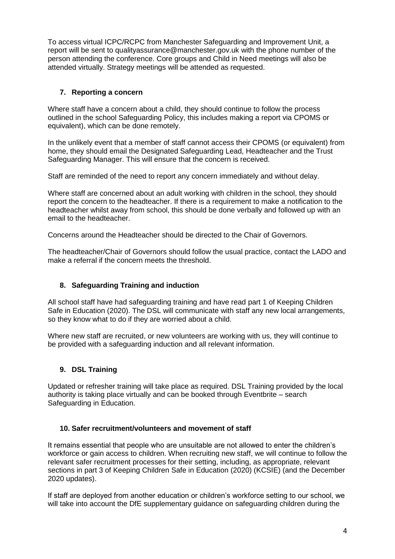To access virtual ICPC/RCPC from Manchester Safeguarding and Improvement Unit, a report will be sent to qualityassurance@manchester.gov.uk with the phone number of the person attending the conference. Core groups and Child in Need meetings will also be attended virtually. Strategy meetings will be attended as requested.

# **7. Reporting a concern**

Where staff have a concern about a child, they should continue to follow the process outlined in the school Safeguarding Policy, this includes making a report via CPOMS or equivalent), which can be done remotely.

In the unlikely event that a member of staff cannot access their CPOMS (or equivalent) from home, they should email the Designated Safeguarding Lead, Headteacher and the Trust Safeguarding Manager. This will ensure that the concern is received.

Staff are reminded of the need to report any concern immediately and without delay.

Where staff are concerned about an adult working with children in the school, they should report the concern to the headteacher. If there is a requirement to make a notification to the headteacher whilst away from school, this should be done verbally and followed up with an email to the headteacher.

Concerns around the Headteacher should be directed to the Chair of Governors.

The headteacher/Chair of Governors should follow the usual practice, contact the LADO and make a referral if the concern meets the threshold.

### **8. Safeguarding Training and induction**

All school staff have had safeguarding training and have read part 1 of Keeping Children Safe in Education (2020). The DSL will communicate with staff any new local arrangements, so they know what to do if they are worried about a child.

Where new staff are recruited, or new volunteers are working with us, they will continue to be provided with a safeguarding induction and all relevant information.

### **9. DSL Training**

Updated or refresher training will take place as required. DSL Training provided by the local authority is taking place virtually and can be booked through Eventbrite – search Safeguarding in Education.

### **10. Safer recruitment/volunteers and movement of staff**

It remains essential that people who are unsuitable are not allowed to enter the children's workforce or gain access to children. When recruiting new staff, we will continue to follow the relevant safer recruitment processes for their setting, including, as appropriate, relevant sections in part 3 of Keeping Children Safe in Education (2020) (KCSIE) (and the December 2020 updates).

If staff are deployed from another education or children's workforce setting to our school, we will take into account the DfE supplementary guidance on safeguarding children during the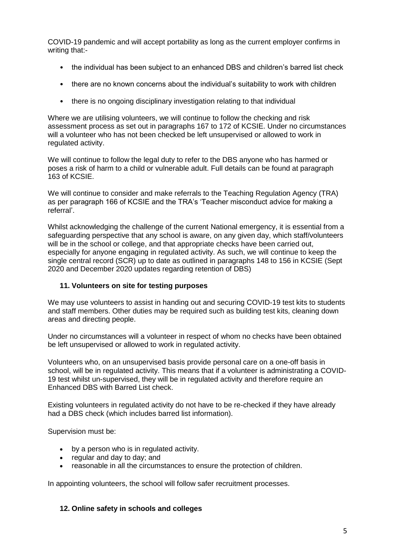COVID-19 pandemic and will accept portability as long as the current employer confirms in writing that:-

- the individual has been subject to an enhanced DBS and children's barred list check
- there are no known concerns about the individual's suitability to work with children
- there is no ongoing disciplinary investigation relating to that individual

Where we are utilising volunteers, we will continue to follow the checking and risk assessment process as set out in paragraphs 167 to 172 of KCSIE. Under no circumstances will a volunteer who has not been checked be left unsupervised or allowed to work in regulated activity.

We will continue to follow the legal duty to refer to the DBS anyone who has harmed or poses a risk of harm to a child or vulnerable adult. Full details can be found at paragraph 163 of KCSIE.

We will continue to consider and make referrals to the Teaching Regulation Agency (TRA) as per paragraph 166 of KCSIE and the TRA's 'Teacher misconduct advice for making a referral'.

Whilst acknowledging the challenge of the current National emergency, it is essential from a safeguarding perspective that any school is aware, on any given day, which staff/volunteers will be in the school or college, and that appropriate checks have been carried out, especially for anyone engaging in regulated activity. As such, we will continue to keep the single central record (SCR) up to date as outlined in paragraphs 148 to 156 in KCSIE (Sept 2020 and December 2020 updates regarding retention of DBS)

#### **11. Volunteers on site for testing purposes**

We may use volunteers to assist in handing out and securing COVID-19 test kits to students and staff members. Other duties may be required such as building test kits, cleaning down areas and directing people.

Under no circumstances will a volunteer in respect of whom no checks have been obtained be left unsupervised or allowed to work in regulated activity.

Volunteers who, on an unsupervised basis provide personal care on a one-off basis in school, will be in regulated activity. This means that if a volunteer is administrating a COVID-19 test whilst un-supervised, they will be in regulated activity and therefore require an Enhanced DBS with Barred List check.

Existing volunteers in regulated activity do not have to be re-checked if they have already had a DBS check (which includes barred list information).

Supervision must be:

- by a person who is in regulated activity.
- regular and day to day; and
- reasonable in all the circumstances to ensure the protection of children.

In appointing volunteers, the school will follow safer recruitment processes.

#### **12. Online safety in schools and colleges**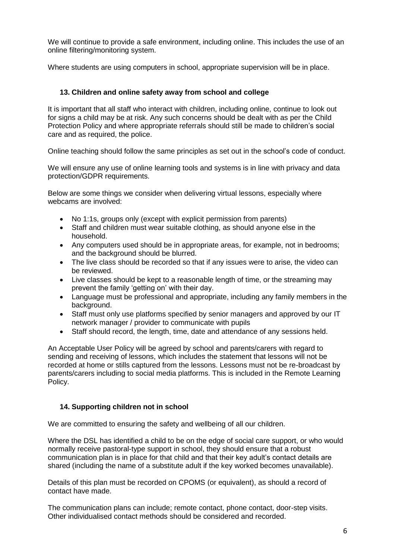We will continue to provide a safe environment, including online. This includes the use of an online filtering/monitoring system.

Where students are using computers in school, appropriate supervision will be in place.

### **13. Children and online safety away from school and college**

It is important that all staff who interact with children, including online, continue to look out for signs a child may be at risk. Any such concerns should be dealt with as per the Child Protection Policy and where appropriate referrals should still be made to children's social care and as required, the police.

Online teaching should follow the same principles as set out in the school's code of conduct.

We will ensure any use of online learning tools and systems is in line with privacy and data protection/GDPR requirements.

Below are some things we consider when delivering virtual lessons, especially where webcams are involved:

- No 1:1s, groups only (except with explicit permission from parents)
- Staff and children must wear suitable clothing, as should anyone else in the household.
- Any computers used should be in appropriate areas, for example, not in bedrooms; and the background should be blurred.
- The live class should be recorded so that if any issues were to arise, the video can be reviewed.
- Live classes should be kept to a reasonable length of time, or the streaming may prevent the family 'getting on' with their day.
- Language must be professional and appropriate, including any family members in the background.
- Staff must only use platforms specified by senior managers and approved by our IT network manager / provider to communicate with pupils
- Staff should record, the length, time, date and attendance of any sessions held.

An Acceptable User Policy will be agreed by school and parents/carers with regard to sending and receiving of lessons, which includes the statement that lessons will not be recorded at home or stills captured from the lessons. Lessons must not be re-broadcast by parents/carers including to social media platforms. This is included in the Remote Learning Policy.

### **14. Supporting children not in school**

We are committed to ensuring the safety and wellbeing of all our children.

Where the DSL has identified a child to be on the edge of social care support, or who would normally receive pastoral-type support in school, they should ensure that a robust communication plan is in place for that child and that their key adult's contact details are shared (including the name of a substitute adult if the key worked becomes unavailable).

Details of this plan must be recorded on CPOMS (or equivalent), as should a record of contact have made.

The communication plans can include; remote contact, phone contact, door-step visits. Other individualised contact methods should be considered and recorded.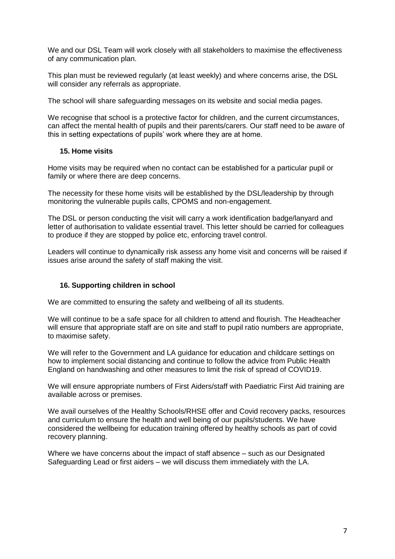We and our DSL Team will work closely with all stakeholders to maximise the effectiveness of any communication plan.

This plan must be reviewed regularly (at least weekly) and where concerns arise, the DSL will consider any referrals as appropriate.

The school will share safeguarding messages on its website and social media pages.

We recognise that school is a protective factor for children, and the current circumstances, can affect the mental health of pupils and their parents/carers. Our staff need to be aware of this in setting expectations of pupils' work where they are at home.

#### **15. Home visits**

Home visits may be required when no contact can be established for a particular pupil or family or where there are deep concerns.

The necessity for these home visits will be established by the DSL/leadership by through monitoring the vulnerable pupils calls, CPOMS and non-engagement.

The DSL or person conducting the visit will carry a work identification badge/lanyard and letter of authorisation to validate essential travel. This letter should be carried for colleagues to produce if they are stopped by police etc, enforcing travel control.

Leaders will continue to dynamically risk assess any home visit and concerns will be raised if issues arise around the safety of staff making the visit.

#### **16. Supporting children in school**

We are committed to ensuring the safety and wellbeing of all its students.

We will continue to be a safe space for all children to attend and flourish. The Headteacher will ensure that appropriate staff are on site and staff to pupil ratio numbers are appropriate, to maximise safety.

We will refer to the Government and LA guidance for education and childcare settings on how to implement social distancing and continue to follow the advice from Public Health England on handwashing and other measures to limit the risk of spread of COVID19.

We will ensure appropriate numbers of First Aiders/staff with Paediatric First Aid training are available across or premises.

We avail ourselves of the Healthy Schools/RHSE offer and Covid recovery packs, resources and curriculum to ensure the health and well being of our pupils/students. We have considered the wellbeing for education training offered by healthy schools as part of covid recovery planning.

Where we have concerns about the impact of staff absence – such as our Designated Safeguarding Lead or first aiders – we will discuss them immediately with the LA.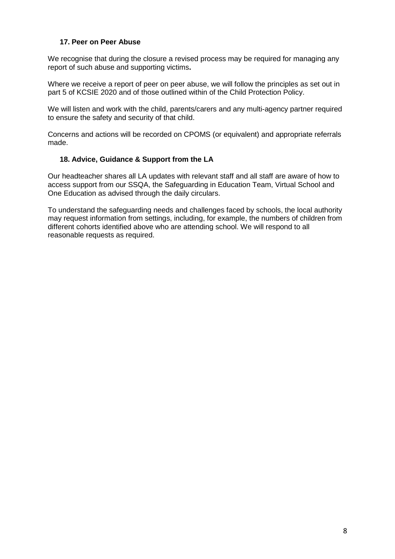### **17. Peer on Peer Abuse**

We recognise that during the closure a revised process may be required for managing any report of such abuse and supporting victims**.** 

Where we receive a report of peer on peer abuse, we will follow the principles as set out in part 5 of KCSIE 2020 and of those outlined within of the Child Protection Policy.

We will listen and work with the child, parents/carers and any multi-agency partner required to ensure the safety and security of that child.

Concerns and actions will be recorded on CPOMS (or equivalent) and appropriate referrals made.

### **18. Advice, Guidance & Support from the LA**

Our headteacher shares all LA updates with relevant staff and all staff are aware of how to access support from our SSQA, the Safeguarding in Education Team, Virtual School and One Education as advised through the daily circulars.

To understand the safeguarding needs and challenges faced by schools, the local authority may request information from settings, including, for example, the numbers of children from different cohorts identified above who are attending school. We will respond to all reasonable requests as required.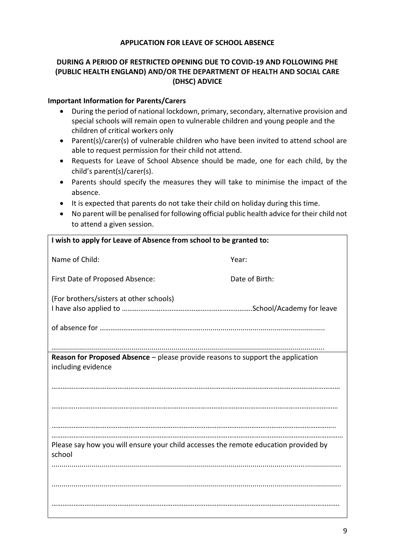### **APPLICATION FOR LEAVE OF SCHOOL ABSENCE**

## **DURING A PERIOD OF RESTRICTED OPENING DUE TO COVID-19 AND FOLLOWING PHE (PUBLIC HEALTH ENGLAND) AND/OR THE DEPARTMENT OF HEALTH AND SOCIAL CARE (DHSC) ADVICE**

#### **Important Information for Parents/Carers**

- During the period of national lockdown, primary, secondary, alternative provision and special schools will remain open to vulnerable children and young people and the children of critical workers only
- Parent(s)/carer(s) of vulnerable children who have been invited to attend school are able to request permission for their child not attend.
- Requests for Leave of School Absence should be made, one for each child, by the child's parent(s)/carer(s).
- Parents should specify the measures they will take to minimise the impact of the absence.
- It is expected that parents do not take their child on holiday during this time.
- No parent will be penalised for following official public health advice for their child not to attend a given session.

| I wish to apply for Leave of Absence from school to be granted to:                                           |                |  |  |  |
|--------------------------------------------------------------------------------------------------------------|----------------|--|--|--|
| Name of Child:                                                                                               | Year:          |  |  |  |
| First Date of Proposed Absence:                                                                              | Date of Birth: |  |  |  |
| (For brothers/sisters at other schools)                                                                      |                |  |  |  |
|                                                                                                              |                |  |  |  |
| <b>Reason for Proposed Absence</b> – please provide reasons to support the application<br>including evidence |                |  |  |  |
|                                                                                                              |                |  |  |  |
|                                                                                                              |                |  |  |  |
|                                                                                                              |                |  |  |  |
| Please say how you will ensure your child accesses the remote education provided by<br>school                |                |  |  |  |
|                                                                                                              |                |  |  |  |
|                                                                                                              |                |  |  |  |
|                                                                                                              |                |  |  |  |